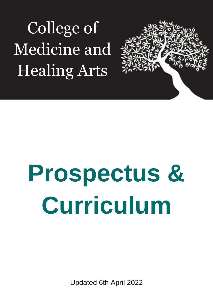College of Medicine and Healing Arts



# **Prospectus & Curriculum**

Updated 6th April 2022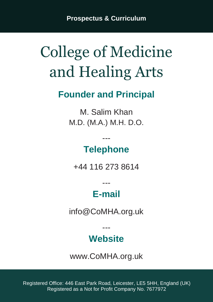**Prospectus & Curriculum**

# College of Medicine and Healing Arts

### **Founder and Principal**

M. Salim Khan M.D. (M.A.) M.H. D.O.

### **Telephone**

---

+44 116 273 8614

# **E-mail**

---

info@CoMHA.org.uk

# **Website**

---

www.CoMHA.org.uk

Registered Office: 446 East Park Road, Leicester, LE5 5HH, England (UK) Registered as a Not for Profit Company No. 7677972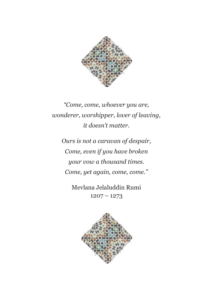

*"Come, come, whoever you are, wonderer, worshipper, lover of leaving, it doesn't matter.*

*Ours is not a caravan of despair, Come, even if you have broken your vow a thousand times. Come, yet again, come, come."*

> Mevlana Jelaluddin Rumi  $1207 - 1273$

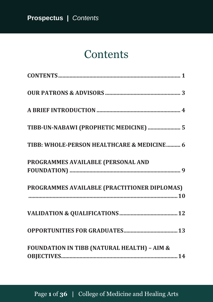# **Contents**

<span id="page-3-0"></span>

| TIBB-UN-NABAWI (PROPHETIC MEDICINE)  5                 |
|--------------------------------------------------------|
| TIBB: WHOLE-PERSON HEALTHCARE & MEDICINE 6             |
| PROGRAMMES AVAILABLE (PERSONAL AND                     |
| PROGRAMMES AVAILABLE (PRACTITIONER DIPLOMAS)           |
|                                                        |
|                                                        |
| <b>FOUNDATION IN TIBB (NATURAL HEALTH) - AIM &amp;</b> |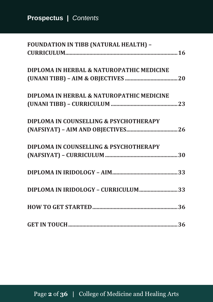| <b>FOUNDATION IN TIBB (NATURAL HEALTH) -</b> |
|----------------------------------------------|
|                                              |
| DIPLOMA IN HERBAL & NATUROPATHIC MEDICINE    |
|                                              |
| DIPLOMA IN HERBAL & NATUROPATHIC MEDICINE    |
|                                              |
| DIPLOMA IN COUNSELLING & PSYCHOTHERAPY       |
|                                              |
| DIPLOMA IN COUNSELLING & PSYCHOTHERAPY       |
|                                              |
|                                              |
| DIPLOMA IN IRIDOLOGY - CURRICULUM33          |
|                                              |
|                                              |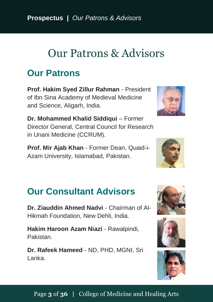**Prospectus |** *Our Patrons & Advisors*

# <span id="page-5-0"></span>Our Patrons & Advisors

#### **Our Patrons**

**Prof. Hakim Syed Zillur Rahman** - President of Ibn Sina Academy of Medieval Medicine and Science, Aligarh, India.

**Dr. Mohammed Khalid Siddiqui** – Former Director General, Central Council for Research in Unani Medicine (CCRUM).

**Prof. Mir Ajab Khan** - Former Dean, Quaid-i-Azam University, Islamabad, Pakistan.

### **Our Consultant Advisors**

**Dr. Ziauddin Ahmed Nadvi** - Chairman of Al-Hikmah Foundation, New Dehli, India.

**Hakim Haroon Azam Niazi** - Rawalpindi, Pakistan.

**Dr. Rafeek Hameed** - ND, PHD, MGNI, Sri Lanka.







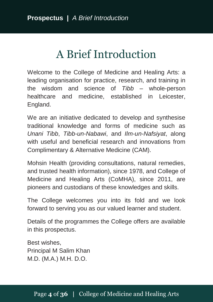# A Brief Introduction

<span id="page-6-0"></span>Welcome to the College of Medicine and Healing Arts: a leading organisation for practice, research, and training in the wisdom and science of *Tibb* – whole-person healthcare and medicine, established in Leicester, England.

We are an initiative dedicated to develop and synthesise traditional knowledge and forms of medicine such as *Unani Tibb*, *Tibb-un-Nabawi*, and *Ilm-un-Nafsiyat*, along with useful and beneficial research and innovations from Complimentary & Alternative Medicine (CAM).

Mohsin Health (providing consultations, natural remedies, and trusted health information), since 1978, and College of Medicine and Healing Arts (CoMHA), since 2011, are pioneers and custodians of these knowledges and skills.

The College welcomes you into its fold and we look forward to serving you as our valued learner and student.

Details of the programmes the College offers are available in this prospectus.

Best wishes, Principal M Salim Khan M.D. (M.A.) M.H. D.O.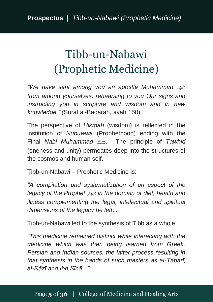# <span id="page-7-0"></span>Tibb-un-Nabawi (Prophetic Medicine)

*"We have sent among you an apostle Muhammad* صلى الله عليه وسلم *from among yourselves, rehearsing to you Our signs and instructing you in scripture and wisdom and in new knowledge." (*Surat al-Baqarah, ayah 150)

The perspective of *Hikmah* (wisdom) is reflected in the institution of *Nubuwwa* (Prophethood) ending with the Final *Nabi Muhammad* صلى الله عليه وسلم. The principle of *Tawhid* (oneness and unity) permeates deep into the structures of the cosmos and human self.

Ṭibb-un-Nabawi – Prophetic Medicine is:

*"A compilation and systematization of an aspect of the legacy of the Prophet* صلى الله عليه وسلم *in the domain of diet, health and illness complementing the legal, intellectual and spiritual dimensions of the legacy he left..."*

Ṭibb-un-Nabawi led to the synthesis of Tibb as a whole:

*"This medicine remained distinct while interacting with the medicine which was then being learned from Greek, Persian and Indian sources, the latter process resulting in that synthesis in the hands of such masters as al-Tabarī, al-Rāzī and Ibn Sīnā..."*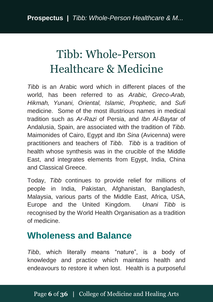# <span id="page-8-0"></span>Tibb: Whole-Person Healthcare & Medicine

*Tibb* is an Arabic word which in different places of the world, has been referred to as *Arabic, Greco-Arab, Hikmah, Yunani, Oriental, Islamic, Prophetic,* and *Sufi*  medicine. Some of the most illustrious names in medical tradition such as *Ar-Razi* of Persia, and *Ibn Al-Baytar* of Andalusia, Spain, are associated with the tradition of *Tibb*. Maimonides of Cairo, Egypt and *Ibn Sina* (Avicenna) were practitioners and teachers of *Tibb*. *Tibb* is a tradition of health whose synthesis was in the crucible of the Middle East, and integrates elements from Egypt, India, China and Classical Greece.

Today, *Tibb* continues to provide relief for millions of people in India, Pakistan, Afghanistan, Bangladesh, Malaysia, various parts of the Middle East, Africa, USA, Europe and the United Kingdom. *Unani Tibb* is recognised by the World Health Organisation as a tradition of medicine.

#### **Wholeness and Balance**

*Tibb*, which literally means "nature", is a body of knowledge and practice which maintains health and endeavours to restore it when lost. Health is a purposeful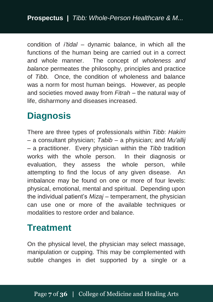condition of *i'tidal* – dynamic balance, in which all the functions of the human being are carried out in a correct and whole manner. The concept of *wholeness and balance* permeates the philosophy, principles and practice of *Tibb*. Once, the condition of wholeness and balance was a norm for most human beings. However, as people and societies moved away from *Fitrah* – the natural way of life, disharmony and diseases increased.

### **Diagnosis**

There are three types of professionals within *Tibb*: *Hakim* – a consultant physician; *Tabib* – a physician; and *Mu'allij* – a practitioner. Every physician within the *Tibb* tradition works with the whole person. In their diagnosis or evaluation, they assess the whole person, while attempting to find the locus of any given disease. An imbalance may be found on one or more of four levels: physical, emotional, mental and spiritual. Depending upon the individual patient's *Mizaj* – temperament, the physician can use one or more of the available techniques or modalities to restore order and balance.

### **Treatment**

On the physical level, the physician may select massage, manipulation or cupping. This may be complemented with subtle changes in diet supported by a single or a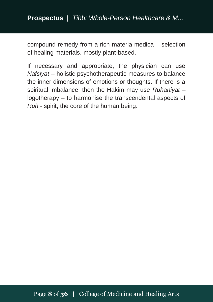**Prospectus |** *Tibb: Whole-Person Healthcare & M...*

compound remedy from a rich materia medica – selection of healing materials, mostly plant-based.

If necessary and appropriate, the physician can use *Nafsiyat* – holistic psychotherapeutic measures to balance the inner dimensions of emotions or thoughts. If there is a spiritual imbalance, then the Hakim may use *Ruhaniyat* – logotherapy – to harmonise the transcendental aspects of *Ruh* - spirit, the core of the human being.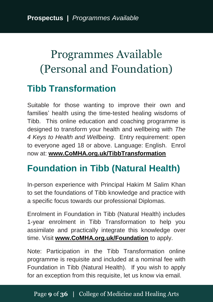# <span id="page-11-0"></span>Programmes Available (Personal and Foundation)

### **Tibb Transformation**

Suitable for those wanting to improve their own and families' health using the time-tested healing wisdoms of Tibb. This online education and coaching programme is designed to transform your health and wellbeing with *The 4 Keys to Health and Wellbeing*. Entry requirement: open to everyone aged 18 or above. Language: English. Enrol now at: **[www.CoMHA.org.uk/TibbTransformation](http://www.comha.org.uk/TibbTransformation)**

# **Foundation in Tibb (Natural Health)**

In-person experience with Principal Hakim M Salim Khan to set the foundations of Tibb knowledge and practice with a specific focus towards our professional Diplomas.

Enrolment in Foundation in Tibb (Natural Health) includes 1-year enrolment in Tibb Transformation to help you assimilate and practically integrate this knowledge over time. Visit **[www.CoMHA.org.uk/Foundation](http://www.comha.org.uk/Foundation)** to apply.

Note: Participation in the Tibb Transformation online programme is requisite and included at a nominal fee with Foundation in Tibb (Natural Health). If you wish to apply for an exception from this requisite, let us know via email.

#### Page **9** of **36 |** College of Medicine and Healing Arts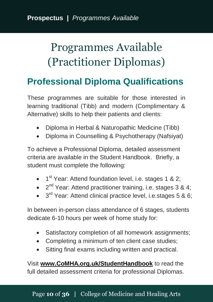# <span id="page-12-0"></span>Programmes Available (Practitioner Diplomas)

### **Professional Diploma Qualifications**

These programmes are suitable for those interested in learning traditional (Tibb) and modern (Complimentary & Alternative) skills to help their patients and clients:

- Diploma in Herbal & Naturopathic Medicine (Tibb)
- Diploma in Counselling & Psychotherapy (Nafsiyat)

To achieve a Professional Diploma, detailed assessment criteria are available in the Student Handbook. Briefly, a student must complete the following:

- 1<sup>st</sup> Year: Attend foundation level, i.e. stages 1 & 2;
- $\bullet$   $2^{nd}$  Year: Attend practitioner training, i.e. stages 3 & 4;
- 3<sup>rd</sup> Year: Attend clinical practice level, i.e.stages 5 & 6;

In between in-person class attendance of 6 stages, students dedicate 6-10 hours per week of home study for:

- Satisfactory completion of all homework assignments;
- Completing a minimum of ten client case studies;
- Sitting final exams including written and practical.

Visit **[www.CoMHA.org.uk/StudentHandbook](http://www.comha.org.uk/StudentHandbook)** to read the full detailed assessment criteria for professional Diplomas.

#### Page **10** of **36 |** College of Medicine and Healing Arts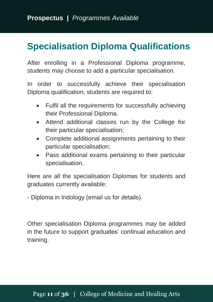### **Specialisation Diploma Qualifications**

After enrolling in a Professional Diploma programme, students may choose to add a particular specialisation.

In order to successfully achieve their specialisation Diploma qualification, students are required to:

- Fulfil all the requirements for successfully achieving their Professional Diploma.
- Attend additional classes run by the College for their particular specialisation;
- Complete additional assignments pertaining to their particular specialisation;
- Pass additional exams pertaining to their particular specialisation.

Here are all the specialisation Diplomas for students and graduates currently available:

- Diploma in Iridology (email us for details).

Other specialisation Diploma programmes may be added in the future to support graduates' continual education and training.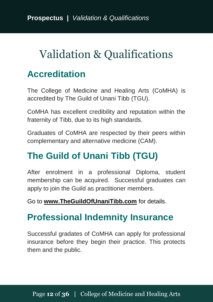# <span id="page-14-0"></span>Validation & Qualifications

### **Accreditation**

The College of Medicine and Healing Arts (CoMHA) is accredited by The Guild of Unani Tibb (TGU).

CoMHA has excellent credibility and reputation within the fraternity of Tibb, due to its high standards.

Graduates of CoMHA are respected by their peers within complementary and alternative medicine (CAM).

# **The Guild of Unani Tibb (TGU)**

After enrolment in a professional Diploma, student membership can be acquired. Successful graduates can apply to join the Guild as practitioner members.

Go to **[www.TheGuildOfUnaniTibb.com](http://www.theguildofunanitibb.com/)** for details.

### **Professional Indemnity Insurance**

Successful gradates of CoMHA can apply for professional insurance before they begin their practice. This protects them and the public.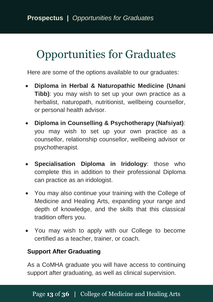# <span id="page-15-0"></span>Opportunities for Graduates

Here are some of the options available to our graduates:

- **Diploma in Herbal & Naturopathic Medicine (Unani Tibb)**: you may wish to set up your own practice as a herbalist, naturopath, nutritionist, wellbeing counsellor, or personal health advisor.
- **Diploma in Counselling & Psychotherapy (Nafsiyat)**: you may wish to set up your own practice as a counsellor, relationship counsellor, wellbeing advisor or psychotherapist.
- **Specialisation Diploma in Iridology**: those who complete this in addition to their professional Diploma can practice as an iridologist.
- You may also continue your training with the College of Medicine and Healing Arts, expanding your range and depth of knowledge, and the skills that this classical tradition offers you.
- You may wish to apply with our College to become certified as a teacher, trainer, or coach.

#### **Support After Graduating**

As a CoMHA graduate you will have access to continuing support after graduating, as well as clinical supervision.

#### Page **13** of **36 |** College of Medicine and Healing Arts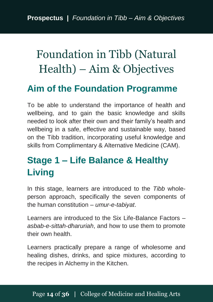# <span id="page-16-0"></span>Foundation in Tibb (Natural Health) – Aim & Objectives

#### **Aim of the Foundation Programme**

To be able to understand the importance of health and wellbeing, and to gain the basic knowledge and skills needed to look after their own and their family's health and wellbeing in a safe, effective and sustainable way, based on the Tibb tradition, incorporating useful knowledge and skills from Complimentary & Alternative Medicine (CAM).

# **Stage 1 – Life Balance & Healthy Living**

In this stage, learners are introduced to the *Tibb* wholeperson approach, specifically the seven components of the human constitution – *umur-e-tabiyat*.

Learners are introduced to the Six Life-Balance Factors – *asbab-e-sittah-dharuriah*, and how to use them to promote their own health.

Learners practically prepare a range of wholesome and healing dishes, drinks, and spice mixtures, according to the recipes in Alchemy in the Kitchen.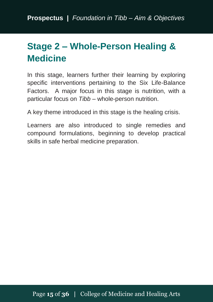# **Stage 2 – Whole-Person Healing & Medicine**

In this stage, learners further their learning by exploring specific interventions pertaining to the Six Life-Balance Factors. A major focus in this stage is nutrition, with a particular focus on *Tibb* – whole-person nutrition.

A key theme introduced in this stage is the healing crisis.

Learners are also introduced to single remedies and compound formulations, beginning to develop practical skills in safe herbal medicine preparation.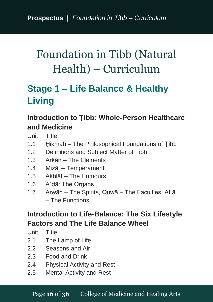# <span id="page-18-0"></span>Foundation in Tibb (Natural Health) – Curriculum

# **Stage 1 – Life Balance & Healthy Living**

#### **Introduction to Ṭibb: Whole-Person Healthcare and Medicine**

Unit Title

- 1.1 Hikmah The Philosophical Foundations of Tibb
- 1.2 Definitions and Subject Matter of Ṭibb
- 1.3 Arkān The Elements
- 1.4 Mizāj Temperament
- 1.5 Akhlāṭ The Humours
- 1.6 Aʿḍā: The Organs
- 1.7 Arwāh The Spirits, Quwā The Faculties, Af al – The Functions

#### **Introduction to Life-Balance: The Six Lifestyle Factors and The Life Balance Wheel**

Unit Title

- 2.1 The Lamp of Life
- 2.2 Seasons and Air
- 2.3 Food and Drink
- 2.4 Physical Activity and Rest
- 2.5 Mental Activity and Rest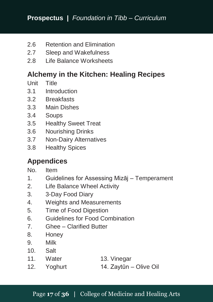- 2.6 Retention and Elimination
- 2.7 Sleep and Wakefulness
- 2.8 Life Balance Worksheets

#### **Alchemy in the Kitchen: Healing Recipes**

- Unit Title
- 3.1 Introduction
- 3.2 Breakfasts
- 3.3 Main Dishes
- 3.4 Soups
- 3.5 Healthy Sweet Treat
- 3.6 Nourishing Drinks
- 3.7 Non-Dairy Alternatives
- 3.8 Healthy Spices

#### **Appendices**

- No. Item
- 1. Guidelines for Assessing Mizāj Temperament
- 2. Life Balance Wheel Activity
- 3. 3-Day Food Diary
- 4. Weights and Measurements
- 5. Time of Food Digestion
- 6. Guidelines for Food Combination
- 7. Ghee Clarified Butter
- 8. Honey
- 9. Milk
- 10. Salt
- 11. Water 13. Vinegar
- 12. Yoghurt 14. Zaytūn Olive Oil

#### Page **17** of **36 |** College of Medicine and Healing Arts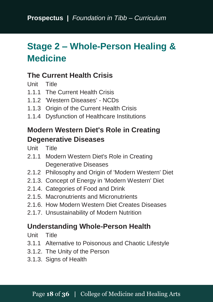# **Stage 2 – Whole-Person Healing & Medicine**

#### **The Current Health Crisis**

Unit Title

- 1.1.1 The Current Health Crisis
- 1.1.2 'Western Diseases' NCDs
- 1.1.3 Origin of the Current Health Crisis
- 1.1.4 Dysfunction of Healthcare Institutions

#### **Modern Western Diet's Role in Creating Degenerative Diseases**

Unit Title

- 2.1.1 Modern Western Diet's Role in Creating Degenerative Diseases
- 2.1.2 Philosophy and Origin of 'Modern Western' Diet
- 2.1.3. Concept of Energy in 'Modern Western' Diet
- 2.1.4. Categories of Food and Drink
- 2.1.5. Macronutrients and Micronutrients
- 2.1.6. How Modern Western Diet Creates Diseases
- 2.1.7. Unsustainability of Modern Nutrition

#### **Understanding Whole-Person Health**

- Unit Title
- 3.1.1 Alternative to Poisonous and Chaotic Lifestyle
- 3.1.2. The Unity of the Person
- 3.1.3. Signs of Health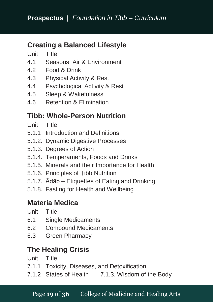#### **Creating a Balanced Lifestyle**

Unit Title

- 4.1 Seasons, Air & Environment
- 4.2 Food & Drink
- 4.3 Physical Activity & Rest
- 4.4 Psychological Activity & Rest
- 4.5 Sleep & Wakefulness
- 4.6 Retention & Elimination

#### **Tibb: Whole-Person Nutrition**

- Unit Title
- 5.1.1 Introduction and Definitions
- 5.1.2. Dynamic Digestive Processes
- 5.1.3. Degrees of Action
- 5.1.4. Temperaments, Foods and Drinks
- 5.1.5. Minerals and their Importance for Health
- 5.1.6. Principles of Ṭibb Nutrition
- 5.1.7. Ādāb Etiquettes of Eating and Drinking
- 5.1.8. Fasting for Health and Wellbeing

#### **Materia Medica**

- Unit Title
- 6.1 Single Medicaments
- 6.2 Compound Medicaments
- 6.3 Green Pharmacy

#### **The Healing Crisis**

Unit Title

- 7.1.1 Toxicity, Diseases, and Detoxification
- 7.1.2 States of Health 7.1.3. Wisdom of the Body

#### Page **19** of **36 |** College of Medicine and Healing Arts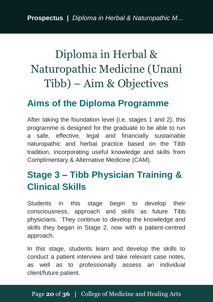# <span id="page-22-0"></span>Diploma in Herbal & Naturopathic Medicine (Unani Tibb) – Aim & Objectives

#### **Aims of the Diploma Programme**

After taking the foundation level (i.e. stages 1 and 2), this programme is designed for the graduate to be able to run a safe, effective, legal and financially sustainable naturopathic and herbal practice based on the Tibb tradition, incorporating useful knowledge and skills from Complimentary & Alternative Medicine (CAM).

### **Stage 3 – Tibb Physician Training & Clinical Skills**

Students in this stage begin to develop their consciousness, approach and skills as future Tibb physicians. They continue to develop the knowledge and skills they began in Stage 2, now with a patient-centred approach.

In this stage, students learn and develop the skills to conduct a patient interview and take relevant case notes, as well as to professionally assess an individual client/future patient.

#### Page **20** of **36 |** College of Medicine and Healing Arts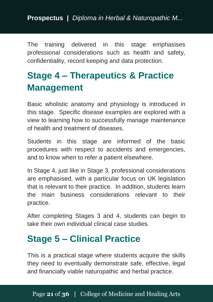The training delivered in this stage emphasises professional considerations such as health and safety, confidentiality, record keeping and data protection.

# **Stage 4 – Therapeutics & Practice Management**

Basic wholistic anatomy and physiology is introduced in this stage. Specific disease examples are explored with a view to learning how to successfully manage maintenance of health and treatment of diseases.

Students in this stage are informed of the basic procedures with respect to accidents and emergencies, and to know when to refer a patient elsewhere.

In Stage 4, just like in Stage 3, professional considerations are emphasised, with a particular focus on UK legislation that is relevant to their practice. In addition, students learn the main business considerations relevant to their practice.

After completing Stages 3 and 4, students can begin to take their own individual clinical case studies.

# **Stage 5 – Clinical Practice**

This is a practical stage where students acquire the skills they need to eventually demonstrate safe, effective, legal and financially viable naturopathic and herbal practice.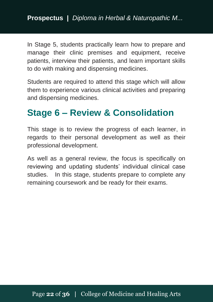In Stage 5, students practically learn how to prepare and manage their clinic premises and equipment, receive patients, interview their patients, and learn important skills to do with making and dispensing medicines.

Students are required to attend this stage which will allow them to experience various clinical activities and preparing and dispensing medicines.

### **Stage 6 – Review & Consolidation**

This stage is to review the progress of each learner, in regards to their personal development as well as their professional development.

As well as a general review, the focus is specifically on reviewing and updating students' individual clinical case studies. In this stage, students prepare to complete any remaining coursework and be ready for their exams.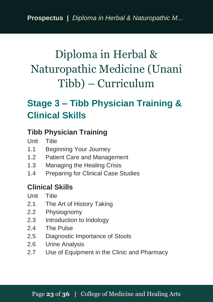# <span id="page-25-0"></span>Diploma in Herbal & Naturopathic Medicine (Unani Tibb) – Curriculum

# **Stage 3 – Tibb Physician Training & Clinical Skills**

#### **Tibb Physician Training**

Unit Title

- 1.1 Beginning Your Journey
- 1.2 Patient Care and Management
- 1.3 Managing the Healing Crisis
- 1.4 Preparing for Clinical Case Studies

#### **Clinical Skills**

- Unit Title
- 2.1 The Art of History Taking
- 2.2 Physiognomy
- 2.3 Introduction to Iridology
- 2.4 The Pulse
- 2.5 Diagnostic Importance of Stools
- 2.6 Urine Analysis
- 2.7 Use of Equipment in the Clinic and Pharmacy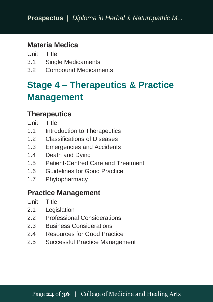#### **Materia Medica**

Unit Title

- 3.1 Single Medicaments
- 3.2 Compound Medicaments

# **Stage 4 – Therapeutics & Practice Management**

#### **Therapeutics**

- Unit Title
- 1.1 Introduction to Therapeutics
- 1.2 Classifications of Diseases
- 1.3 Emergencies and Accidents
- 1.4 Death and Dying
- 1.5 Patient-Centred Care and Treatment
- 1.6 Guidelines for Good Practice
- 1.7 Phytopharmacy

#### **Practice Management**

Unit Title

- 2.1 Legislation
- 2.2 Professional Considerations
- 2.3 Business Considerations
- 2.4 Resources for Good Practice
- 2.5 Successful Practice Management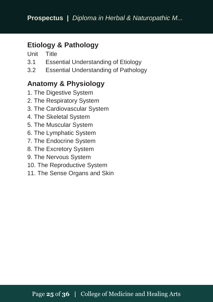#### **Etiology & Pathology**

Unit Title

- 3.1 Essential Understanding of Etiology
- 3.2 Essential Understanding of Pathology

#### **Anatomy & Physiology**

- 1. The Digestive System
- 2. The Respiratory System
- 3. The Cardiovascular System
- 4. The Skeletal System
- 5. The Muscular System
- 6. The Lymphatic System
- 7. The Endocrine System
- 8. The Excretory System
- 9. The Nervous System
- 10. The Reproductive System
- 11. The Sense Organs and Skin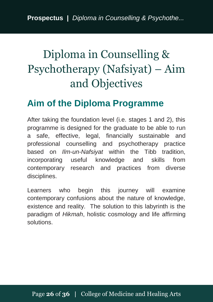# <span id="page-28-0"></span>Diploma in Counselling & Psychotherapy (Nafsiyat) – Aim and Objectives

### **Aim of the Diploma Programme**

After taking the foundation level (i.e. stages 1 and 2), this programme is designed for the graduate to be able to run a safe, effective, legal, financially sustainable and professional counselling and psychotherapy practice based on *Ilm-un-Nafsiyat* within the Tibb tradition, incorporating useful knowledge and skills from contemporary research and practices from diverse disciplines.

Learners who begin this journey will examine contemporary confusions about the nature of knowledge, existence and reality. The solution to this labyrinth is the paradigm of *Hikmah*, holistic cosmology and life affirming solutions.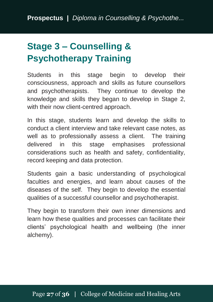# **Stage 3 – Counselling & Psychotherapy Training**

Students in this stage begin to develop their consciousness, approach and skills as future counsellors and psychotherapists. They continue to develop the knowledge and skills they began to develop in Stage 2, with their now client-centred approach.

In this stage, students learn and develop the skills to conduct a client interview and take relevant case notes, as well as to professionally assess a client. The training delivered in this stage emphasises professional considerations such as health and safety, confidentiality, record keeping and data protection.

Students gain a basic understanding of psychological faculties and energies, and learn about causes of the diseases of the self. They begin to develop the essential qualities of a successful counsellor and psychotherapist.

They begin to transform their own inner dimensions and learn how these qualities and processes can facilitate their clients' psychological health and wellbeing (the inner alchemy).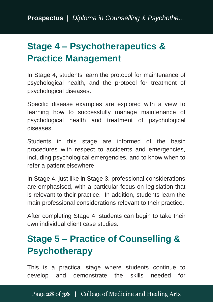# **Stage 4 – Psychotherapeutics & Practice Management**

In Stage 4, students learn the protocol for maintenance of psychological health, and the protocol for treatment of psychological diseases.

Specific disease examples are explored with a view to learning how to successfully manage maintenance of psychological health and treatment of psychological diseases.

Students in this stage are informed of the basic procedures with respect to accidents and emergencies, including psychological emergencies, and to know when to refer a patient elsewhere.

In Stage 4, just like in Stage 3, professional considerations are emphasised, with a particular focus on legislation that is relevant to their practice. In addition, students learn the main professional considerations relevant to their practice.

After completing Stage 4, students can begin to take their own individual client case studies.

# **Stage 5 – Practice of Counselling & Psychotherapy**

This is a practical stage where students continue to develop and demonstrate the skills needed for

Page **28** of **36 |** College of Medicine and Healing Arts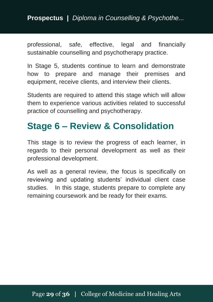#### **Prospectus |** *Diploma in Counselling & Psychothe...*

professional, safe, effective, legal and financially sustainable counselling and psychotherapy practice.

In Stage 5, students continue to learn and demonstrate how to prepare and manage their premises and equipment, receive clients, and interview their clients.

Students are required to attend this stage which will allow them to experience various activities related to successful practice of counselling and psychotherapy.

### **Stage 6 – Review & Consolidation**

This stage is to review the progress of each learner, in regards to their personal development as well as their professional development.

As well as a general review, the focus is specifically on reviewing and updating students' individual client case studies. In this stage, students prepare to complete any remaining coursework and be ready for their exams.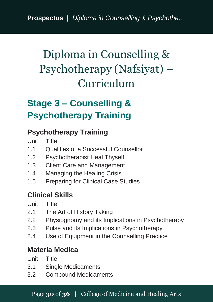# <span id="page-32-0"></span>Diploma in Counselling & Psychotherapy (Nafsiyat) – Curriculum

# **Stage 3 – Counselling & Psychotherapy Training**

#### **Psychotherapy Training**

Unit Title

- 1.1 Qualities of a Successful Counsellor
- 1.2 Psychotherapist Heal Thyself
- 1.3 Client Care and Management
- 1.4 Managing the Healing Crisis
- 1.5 Preparing for Clinical Case Studies

#### **Clinical Skills**

Unit Title

- 2.1 The Art of History Taking
- 2.2 Physiognomy and its Implications in Psychotherapy
- 2.3 Pulse and its Implications in Psychotherapy
- 2.4 Use of Equipment in the Counselling Practice

#### **Materia Medica**

Unit Title

- 3.1 Single Medicaments
- 3.2 Compound Medicaments

#### Page **30** of **36 |** College of Medicine and Healing Arts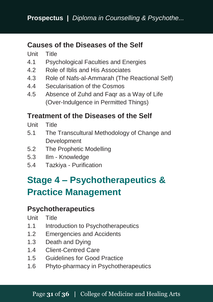#### **Causes of the Diseases of the Self**

Unit Title

- 4.1 Psychological Faculties and Energies
- 4.2 Role of Iblis and His Associates
- 4.3 Role of Nafs-al-Ammarah (The Reactional Self)
- 4.4 Secularisation of the Cosmos
- 4.5 Absence of Zuhd and Faqr as a Way of Life (Over-Indulgence in Permitted Things)

#### **Treatment of the Diseases of the Self**

- Unit Title
- 5.1 The Transcultural Methodology of Change and Development
- 5.2 The Prophetic Modelling
- 5.3 Ilm Knowledge
- 5.4 Tazkiya Purification

# **Stage 4 – Psychotherapeutics & Practice Management**

#### **Psychotherapeutics**

Unit Title

- 1.1 Introduction to Psychotherapeutics
- 1.2 Emergencies and Accidents
- 1.3 Death and Dying
- 1.4 Client-Centred Care
- 1.5 Guidelines for Good Practice
- 1.6 Phyto-pharmacy in Psychotherapeutics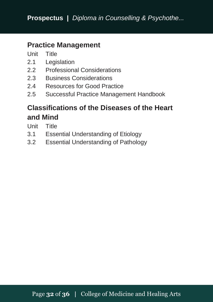#### **Practice Management**

Unit Title

- 2.1 Legislation
- 2.2 Professional Considerations
- 2.3 Business Considerations
- 2.4 Resources for Good Practice
- 2.5 Successful Practice Management Handbook

#### **Classifications of the Diseases of the Heart and Mind**

Unit Title

- 3.1 Essential Understanding of Etiology
- 3.2 Essential Understanding of Pathology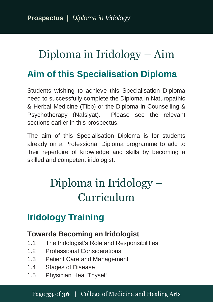# <span id="page-35-0"></span>Diploma in Iridology – Aim

### **Aim of this Specialisation Diploma**

Students wishing to achieve this Specialisation Diploma need to successfully complete the Diploma in Naturopathic & Herbal Medicine (Tibb) or the Diploma in Counselling & Psychotherapy (Nafsiyat). Please see the relevant sections earlier in this prospectus.

The aim of this Specialisation Diploma is for students already on a Professional Diploma programme to add to their repertoire of knowledge and skills by becoming a skilled and competent iridologist.

# <span id="page-35-1"></span>Diploma in Iridology – Curriculum

# **Iridology Training**

#### **Towards Becoming an Iridologist**

- 1.1 The Iridologist's Role and Responsibilities
- 1.2 Professional Considerations
- 1.3 Patient Care and Management
- 1.4 Stages of Disease
- 1.5 Physician Heal Thyself

#### Page **33** of **36 |** College of Medicine and Healing Arts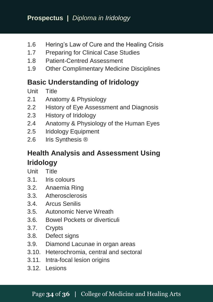- 1.6 Hering's Law of Cure and the Healing Crisis
- 1.7 Preparing for Clinical Case Studies
- 1.8 Patient-Centred Assessment
- 1.9 Other Complimentary Medicine Disciplines

#### **Basic Understanding of Iridology**

- Unit Title
- 2.1 Anatomy & Physiology
- 2.2 History of Eye Assessment and Diagnosis
- 2.3 History of Iridology
- 2.4 Anatomy & Physiology of the Human Eyes
- 2.5 Iridology Equipment
- 2.6 Iris Synthesis ®

#### **Health Analysis and Assessment Using Iridology**

- Unit Title
- 3.1. Iris colours
- 3.2. Anaemia Ring
- 3.3. Atherosclerosis
- 3.4. Arcus Senilis
- 3.5. Autonomic Nerve Wreath
- 3.6. Bowel Pockets or diverticuli
- 3.7. Crypts
- 3.8. Defect signs
- 3.9. Diamond Lacunae in organ areas
- 3.10. Heterochromia, central and sectoral
- 3.11. Intra-focal lesion origins
- 3.12. Lesions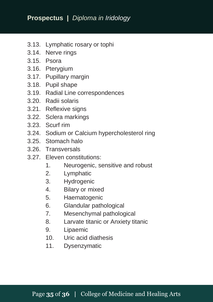- 3.13. Lymphatic rosary or tophi
- 3.14. Nerve rings
- 3.15. Psora
- 3.16. Pterygium
- 3.17. Pupillary margin
- 3.18. Pupil shape
- 3.19. Radial Line correspondences
- 3.20. Radii solaris
- 3.21. Reflexive signs
- 3.22. Sclera markings
- 3.23. Scurf rim
- 3.24. Sodium or Calcium hypercholesterol ring
- 3.25. Stomach halo
- 3.26. Transversals
- 3.27. Eleven constitutions:
	- 1. Neurogenic, sensitive and robust
	-
	- 2. Lymphatic<br>3. Hydrogenic Hydrogenic
	- 4. Bilary or mixed<br>5. Haematogenic
	- **Haematogenic**
	- 6. Glandular pathological
	- 7. Mesenchymal pathological
	- 8. Larvate titanic or Anxiety titanic
	- 9. Lipaemic
	- 10. Uric acid diathesis
	- 11. Dysenzymatic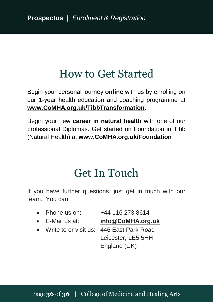# How to Get Started

<span id="page-38-0"></span>Begin your personal journey **online** with us by enrolling on our 1-year health education and coaching programme at **[www.CoMHA.org.uk/TibbTransformation](http://www.comha.org.uk/TibbTransformation)**.

Begin your new **career in natural health** with one of our professional Diplomas. Get started on Foundation in Tibb (Natural Health) at **[www.CoMHA.org.uk/Foundation](http://www.comha.org.uk/Foundation)**

# Get In Touch

<span id="page-38-1"></span>If you have further questions, just get in touch with our team. You can:

• Phone us on: +44 116 273 8614

- E-Mail us at: **[info@CoMHA.org.uk](mailto:info@CoMHA.org.uk)**
- Write to or visit us: 446 East Park Road

Leicester, LE5 5HH England (UK)

#### Page **36** of **36 |** College of Medicine and Healing Arts